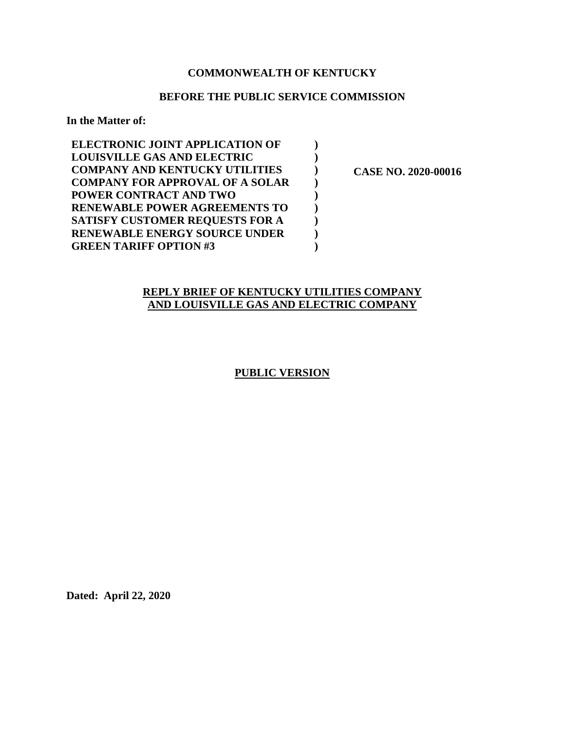## **COMMONWEALTH OF KENTUCKY**

#### **BEFORE THE PUBLIC SERVICE COMMISSION**

**) ) ) ) ) ) ) ) )** 

**In the Matter of:** 

| <b>ELECTRONIC JOINT APPLICATION OF</b> |
|----------------------------------------|
| <b>LOUISVILLE GAS AND ELECTRIC</b>     |
| <b>COMPANY AND KENTUCKY UTILITIES</b>  |
| <b>COMPANY FOR APPROVAL OF A SOLAR</b> |
| POWER CONTRACT AND TWO                 |
| <b>RENEWABLE POWER AGREEMENTS TO</b>   |
| <b>SATISFY CUSTOMER REQUESTS FOR A</b> |
| <b>RENEWABLE ENERGY SOURCE UNDER</b>   |
| <b>GREEN TARIFF OPTION #3</b>          |

 **CASE NO. 2020-00016** 

## **REPLY BRIEF OF KENTUCKY UTILITIES COMPANY AND LOUISVILLE GAS AND ELECTRIC COMPANY**

## **PUBLIC VERSION**

**Dated: April 22, 2020**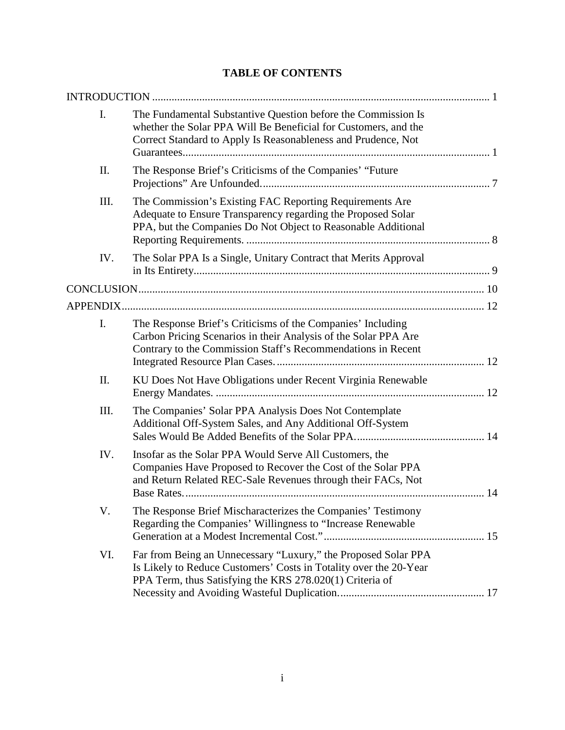# **TABLE OF CONTENTS**

| I.   | The Fundamental Substantive Question before the Commission Is<br>whether the Solar PPA Will Be Beneficial for Customers, and the<br>Correct Standard to Apply Is Reasonableness and Prudence, Not |
|------|---------------------------------------------------------------------------------------------------------------------------------------------------------------------------------------------------|
| II.  | The Response Brief's Criticisms of the Companies' "Future                                                                                                                                         |
| III. | The Commission's Existing FAC Reporting Requirements Are<br>Adequate to Ensure Transparency regarding the Proposed Solar<br>PPA, but the Companies Do Not Object to Reasonable Additional         |
| IV.  | The Solar PPA Is a Single, Unitary Contract that Merits Approval                                                                                                                                  |
|      |                                                                                                                                                                                                   |
|      |                                                                                                                                                                                                   |
| I.   | The Response Brief's Criticisms of the Companies' Including<br>Carbon Pricing Scenarios in their Analysis of the Solar PPA Are<br>Contrary to the Commission Staff's Recommendations in Recent    |
| II.  | KU Does Not Have Obligations under Recent Virginia Renewable                                                                                                                                      |
| III. | The Companies' Solar PPA Analysis Does Not Contemplate<br>Additional Off-System Sales, and Any Additional Off-System                                                                              |
| IV.  | Insofar as the Solar PPA Would Serve All Customers, the<br>Companies Have Proposed to Recover the Cost of the Solar PPA<br>and Return Related REC-Sale Revenues through their FACs, Not           |
| V.   | The Response Brief Mischaracterizes the Companies' Testimony<br>Regarding the Companies' Willingness to "Increase Renewable                                                                       |
| VI.  | Far from Being an Unnecessary "Luxury," the Proposed Solar PPA<br>Is Likely to Reduce Customers' Costs in Totality over the 20-Year<br>PPA Term, thus Satisfying the KRS 278.020(1) Criteria of   |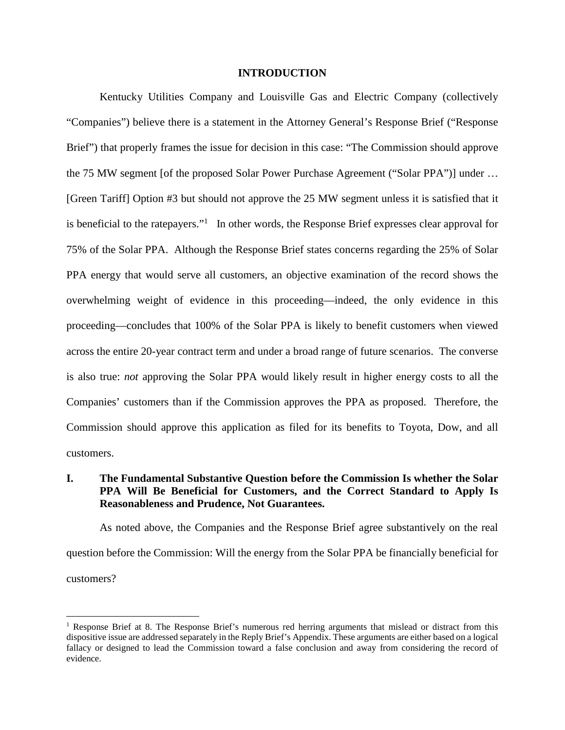#### **INTRODUCTION**

Kentucky Utilities Company and Louisville Gas and Electric Company (collectively "Companies") believe there is a statement in the Attorney General's Response Brief ("Response Brief") that properly frames the issue for decision in this case: "The Commission should approve the 75 MW segment [of the proposed Solar Power Purchase Agreement ("Solar PPA")] under … [Green Tariff] Option #3 but should not approve the 25 MW segment unless it is satisfied that it is beneficial to the ratepayers."<sup>1</sup> In other words, the Response Brief expresses clear approval for 75% of the Solar PPA. Although the Response Brief states concerns regarding the 25% of Solar PPA energy that would serve all customers, an objective examination of the record shows the overwhelming weight of evidence in this proceeding—indeed, the only evidence in this proceeding—concludes that 100% of the Solar PPA is likely to benefit customers when viewed across the entire 20-year contract term and under a broad range of future scenarios. The converse is also true: *not* approving the Solar PPA would likely result in higher energy costs to all the Companies' customers than if the Commission approves the PPA as proposed. Therefore, the Commission should approve this application as filed for its benefits to Toyota, Dow, and all customers.

## **I. The Fundamental Substantive Question before the Commission Is whether the Solar PPA Will Be Beneficial for Customers, and the Correct Standard to Apply Is Reasonableness and Prudence, Not Guarantees.**

As noted above, the Companies and the Response Brief agree substantively on the real question before the Commission: Will the energy from the Solar PPA be financially beneficial for customers?

<sup>&</sup>lt;sup>1</sup> Response Brief at 8. The Response Brief's numerous red herring arguments that mislead or distract from this dispositive issue are addressed separately in the Reply Brief's Appendix. These arguments are either based on a logical fallacy or designed to lead the Commission toward a false conclusion and away from considering the record of evidence.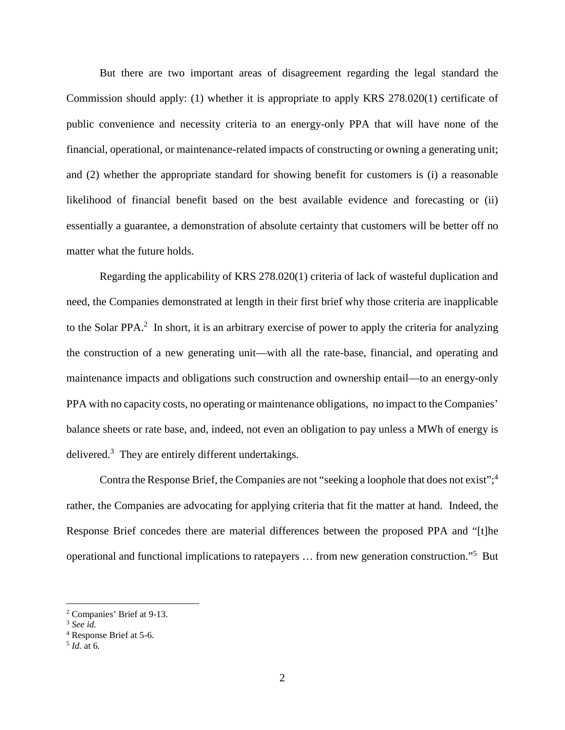But there are two important areas of disagreement regarding the legal standard the Commission should apply: (1) whether it is appropriate to apply KRS 278.020(1) certificate of public convenience and necessity criteria to an energy-only PPA that will have none of the financial, operational, or maintenance-related impacts of constructing or owning a generating unit; and (2) whether the appropriate standard for showing benefit for customers is (i) a reasonable likelihood of financial benefit based on the best available evidence and forecasting or (ii) essentially a guarantee, a demonstration of absolute certainty that customers will be better off no matter what the future holds.

Regarding the applicability of KRS 278.020(1) criteria of lack of wasteful duplication and need, the Companies demonstrated at length in their first brief why those criteria are inapplicable to the Solar PPA. $^2$  In short, it is an arbitrary exercise of power to apply the criteria for analyzing the construction of a new generating unit—with all the rate-base, financial, and operating and maintenance impacts and obligations such construction and ownership entail—to an energy-only PPA with no capacity costs, no operating or maintenance obligations, no impact to the Companies' balance sheets or rate base, and, indeed, not even an obligation to pay unless a MWh of energy is delivered. $3$  They are entirely different undertakings.

Contra the Response Brief, the Companies are not "seeking a loophole that does not exist";<sup>4</sup> rather, the Companies are advocating for applying criteria that fit the matter at hand. Indeed, the Response Brief concedes there are material differences between the proposed PPA and "[t]he operational and functional implications to ratepayers ... from new generation construction."<sup>5</sup> But

<sup>2</sup> Companies' Brief at 9-13.

<sup>3</sup> *See id.*

<sup>4</sup> Response Brief at 5-6.

<sup>5</sup> *Id.* at 6*.*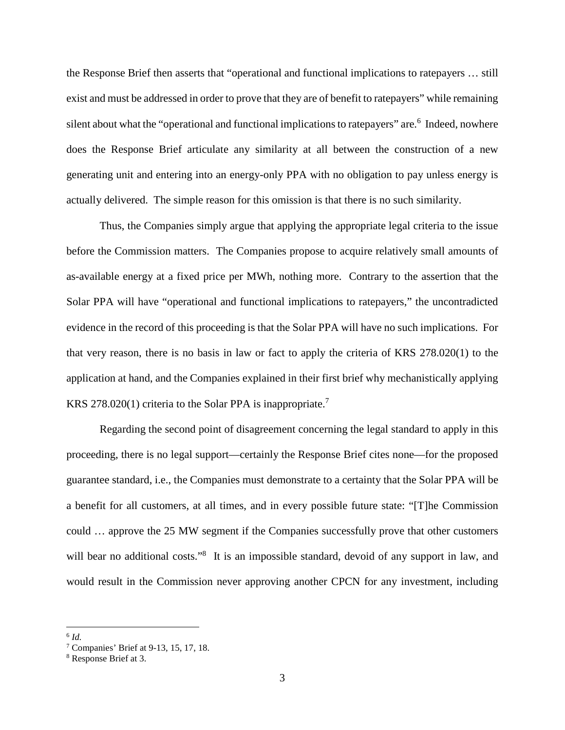the Response Brief then asserts that "operational and functional implications to ratepayers … still exist and must be addressed in order to prove that they are of benefit to ratepayers" while remaining silent about what the "operational and functional implications to ratepayers" are.<sup>6</sup> Indeed, nowhere does the Response Brief articulate any similarity at all between the construction of a new generating unit and entering into an energy-only PPA with no obligation to pay unless energy is actually delivered. The simple reason for this omission is that there is no such similarity.

Thus, the Companies simply argue that applying the appropriate legal criteria to the issue before the Commission matters. The Companies propose to acquire relatively small amounts of as-available energy at a fixed price per MWh, nothing more. Contrary to the assertion that the Solar PPA will have "operational and functional implications to ratepayers," the uncontradicted evidence in the record of this proceeding is that the Solar PPA will have no such implications. For that very reason, there is no basis in law or fact to apply the criteria of KRS 278.020(1) to the application at hand, and the Companies explained in their first brief why mechanistically applying KRS 278.020(1) criteria to the Solar PPA is inappropriate.<sup>7</sup>

Regarding the second point of disagreement concerning the legal standard to apply in this proceeding, there is no legal support—certainly the Response Brief cites none—for the proposed guarantee standard, i.e., the Companies must demonstrate to a certainty that the Solar PPA will be a benefit for all customers, at all times, and in every possible future state: "[T]he Commission could … approve the 25 MW segment if the Companies successfully prove that other customers will bear no additional costs."<sup>8</sup> It is an impossible standard, devoid of any support in law, and would result in the Commission never approving another CPCN for any investment, including

<sup>6</sup> *Id.* 

<sup>7</sup> Companies' Brief at 9-13, 15, 17, 18.

<sup>8</sup> Response Brief at 3.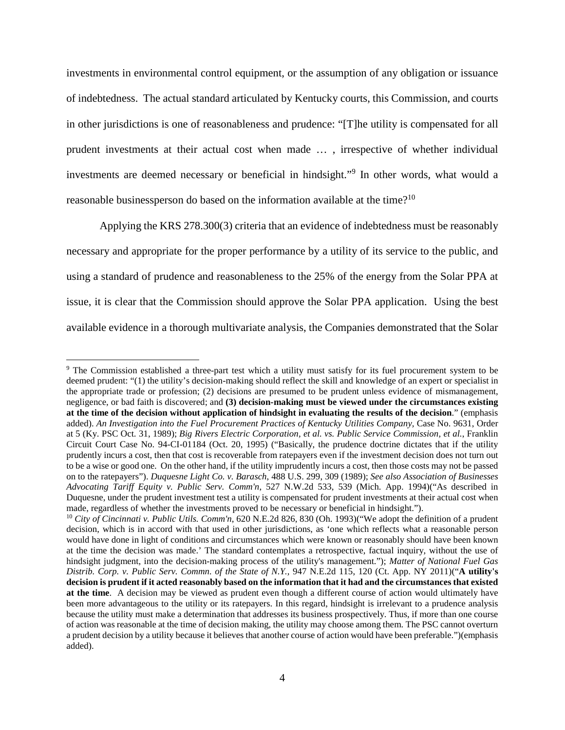investments in environmental control equipment, or the assumption of any obligation or issuance of indebtedness. The actual standard articulated by Kentucky courts, this Commission, and courts in other jurisdictions is one of reasonableness and prudence: "[T]he utility is compensated for all prudent investments at their actual cost when made … , irrespective of whether individual investments are deemed necessary or beneficial in hindsight."<sup>9</sup> In other words, what would a reasonable businessperson do based on the information available at the time?<sup>10</sup>

Applying the KRS 278.300(3) criteria that an evidence of indebtedness must be reasonably necessary and appropriate for the proper performance by a utility of its service to the public, and using a standard of prudence and reasonableness to the 25% of the energy from the Solar PPA at issue, it is clear that the Commission should approve the Solar PPA application. Using the best available evidence in a thorough multivariate analysis, the Companies demonstrated that the Solar

<sup>&</sup>lt;sup>9</sup> The Commission established a three-part test which a utility must satisfy for its fuel procurement system to be deemed prudent: "(1) the utility's decision-making should reflect the skill and knowledge of an expert or specialist in the appropriate trade or profession; (2) decisions are presumed to be prudent unless evidence of mismanagement, negligence, or bad faith is discovered; and **(3) decision-making must be viewed under the circumstances existing at the time of the decision without application of hindsight in evaluating the results of the decision**." (emphasis added). *An Investigation into the Fuel Procurement Practices of Kentucky Utilities Company,* Case No. 9631, Order at 5 (Ky. PSC Oct. 31, 1989); *Big Rivers Electric Corporation, et al. vs. Public Service Commission, et al.*, Franklin Circuit Court Case No. 94-CI-01184 (Oct. 20, 1995) ("Basically, the prudence doctrine dictates that if the utility prudently incurs a cost, then that cost is recoverable from ratepayers even if the investment decision does not turn out to be a wise or good one. On the other hand, if the utility imprudently incurs a cost, then those costs may not be passed on to the ratepayers"). *Duquesne Light Co. v. Barasch*, 488 U.S. 299, 309 (1989); *See also Association of Businesses Advocating Tariff Equity v. Public Serv. Comm'n*, 527 N.W.2d 533, 539 (Mich. App. 1994)("As described in Duquesne, under the prudent investment test a utility is compensated for prudent investments at their actual cost when made, regardless of whether the investments proved to be necessary or beneficial in hindsight.").

<sup>10</sup> *City of Cincinnati v. Public Utils. Comm'n*, 620 N.E.2d 826, 830 (Oh. 1993)("We adopt the definition of a prudent decision, which is in accord with that used in other jurisdictions, as 'one which reflects what a reasonable person would have done in light of conditions and circumstances which were known or reasonably should have been known at the time the decision was made.' The standard contemplates a retrospective, factual inquiry, without the use of hindsight judgment, into the decision-making process of the utility's management."); *Matter of National Fuel Gas Distrib. Corp. v. Public Serv. Commn. of the State of N.Y.,* 947 N.E.2d 115, 120 (Ct. App. NY 2011)("**A utility's decision is prudent if it acted reasonably based on the information that it had and the circumstances that existed at the time**. A decision may be viewed as prudent even though a different course of action would ultimately have been more advantageous to the utility or its ratepayers. In this regard, hindsight is irrelevant to a prudence analysis because the utility must make a determination that addresses its business prospectively. Thus, if more than one course of action was reasonable at the time of decision making, the utility may choose among them. The PSC cannot overturn a prudent decision by a utility because it believes that another course of action would have been preferable.")(emphasis added).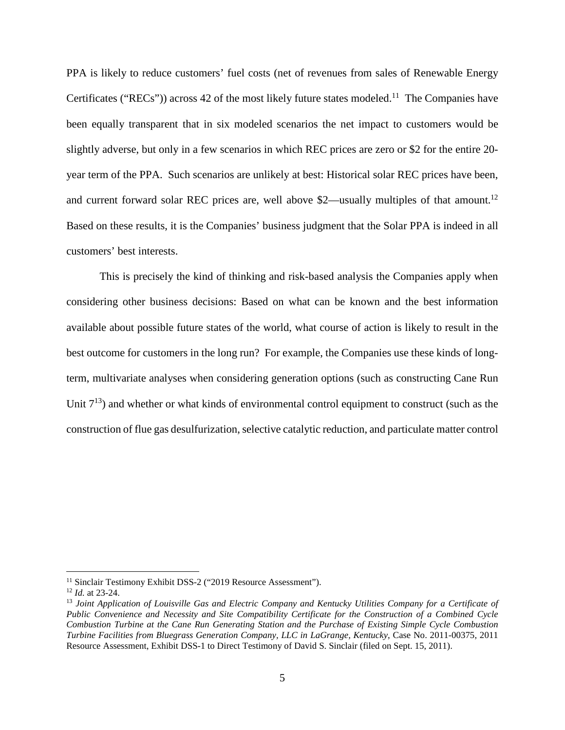PPA is likely to reduce customers' fuel costs (net of revenues from sales of Renewable Energy Certificates ("RECs")) across 42 of the most likely future states modeled.<sup>11</sup> The Companies have been equally transparent that in six modeled scenarios the net impact to customers would be slightly adverse, but only in a few scenarios in which REC prices are zero or \$2 for the entire 20 year term of the PPA. Such scenarios are unlikely at best: Historical solar REC prices have been, and current forward solar REC prices are, well above \$2—usually multiples of that amount.<sup>12</sup> Based on these results, it is the Companies' business judgment that the Solar PPA is indeed in all customers' best interests.

This is precisely the kind of thinking and risk-based analysis the Companies apply when considering other business decisions: Based on what can be known and the best information available about possible future states of the world, what course of action is likely to result in the best outcome for customers in the long run? For example, the Companies use these kinds of longterm, multivariate analyses when considering generation options (such as constructing Cane Run Unit  $7^{13}$ ) and whether or what kinds of environmental control equipment to construct (such as the construction of flue gas desulfurization, selective catalytic reduction, and particulate matter control

<sup>&</sup>lt;sup>11</sup> Sinclair Testimony Exhibit DSS-2 ("2019 Resource Assessment").

<sup>12</sup> *Id.* at 23-24.

<sup>13</sup> *Joint Application of Louisville Gas and Electric Company and Kentucky Utilities Company for a Certificate of Public Convenience and Necessity and Site Compatibility Certificate for the Construction of a Combined Cycle Combustion Turbine at the Cane Run Generating Station and the Purchase of Existing Simple Cycle Combustion Turbine Facilities from Bluegrass Generation Company, LLC in LaGrange, Kentucky*, Case No. 2011-00375, 2011 Resource Assessment, Exhibit DSS-1 to Direct Testimony of David S. Sinclair (filed on Sept. 15, 2011).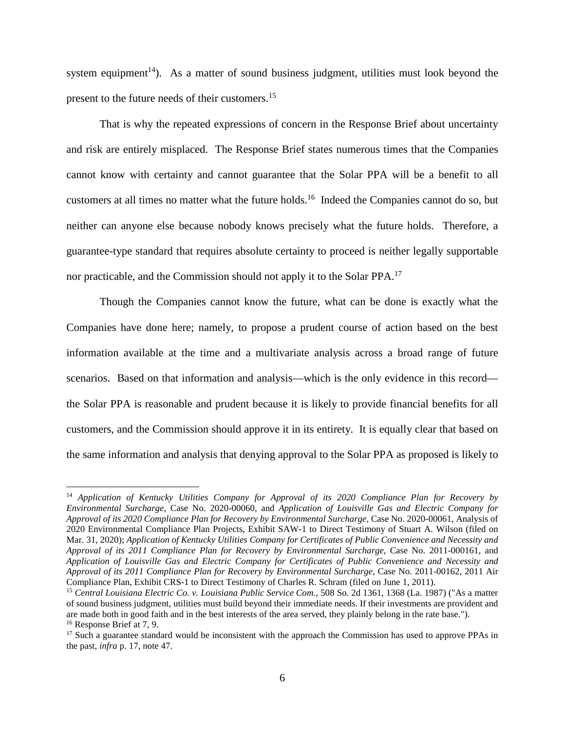system equipment<sup>14</sup>). As a matter of sound business judgment, utilities must look beyond the present to the future needs of their customers.<sup>15</sup>

That is why the repeated expressions of concern in the Response Brief about uncertainty and risk are entirely misplaced. The Response Brief states numerous times that the Companies cannot know with certainty and cannot guarantee that the Solar PPA will be a benefit to all customers at all times no matter what the future holds.<sup>16</sup> Indeed the Companies cannot do so, but neither can anyone else because nobody knows precisely what the future holds. Therefore, a guarantee-type standard that requires absolute certainty to proceed is neither legally supportable nor practicable, and the Commission should not apply it to the Solar PPA.<sup>17</sup>

Though the Companies cannot know the future, what can be done is exactly what the Companies have done here; namely, to propose a prudent course of action based on the best information available at the time and a multivariate analysis across a broad range of future scenarios. Based on that information and analysis—which is the only evidence in this record the Solar PPA is reasonable and prudent because it is likely to provide financial benefits for all customers, and the Commission should approve it in its entirety. It is equally clear that based on the same information and analysis that denying approval to the Solar PPA as proposed is likely to

<sup>14</sup> *Application of Kentucky Utilities Company for Approval of its 2020 Compliance Plan for Recovery by Environmental Surcharge*, Case No. 2020-00060, and *Application of Louisville Gas and Electric Company for Approval of its 2020 Compliance Plan for Recovery by Environmental Surcharge*, Case No. 2020-00061, Analysis of 2020 Environmental Compliance Plan Projects, Exhibit SAW-1 to Direct Testimony of Stuart A. Wilson (filed on Mar. 31, 2020); *Application of Kentucky Utilities Company for Certificates of Public Convenience and Necessity and Approval of its 2011 Compliance Plan for Recovery by Environmental Surcharge*, Case No. 2011-000161, and *Application of Louisville Gas and Electric Company for Certificates of Public Convenience and Necessity and Approval of its 2011 Compliance Plan for Recovery by Environmental Surcharge*, Case No. 2011-00162, 2011 Air Compliance Plan, Exhibit CRS-1 to Direct Testimony of Charles R. Schram (filed on June 1, 2011).

<sup>15</sup> *Central Louisiana Electric Co. v. Louisiana Public Service Com.,* 508 So. 2d 1361, 1368 (La. 1987) ("As a matter of sound business judgment, utilities must build beyond their immediate needs. If their investments are provident and are made both in good faith and in the best interests of the area served, they plainly belong in the rate base."). <sup>16</sup> Response Brief at 7, 9.

 $17$  Such a guarantee standard would be inconsistent with the approach the Commission has used to approve PPAs in the past, *infra* p. 17, note 47.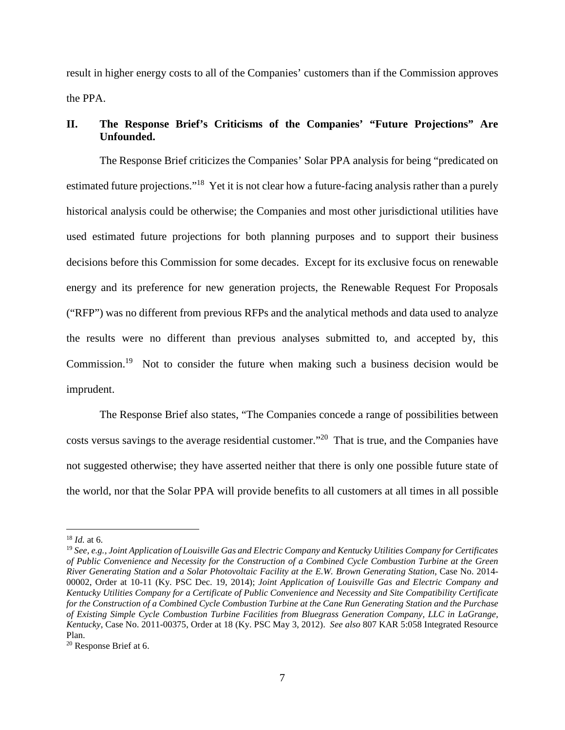result in higher energy costs to all of the Companies' customers than if the Commission approves the PPA.

## **II. The Response Brief's Criticisms of the Companies' "Future Projections" Are Unfounded.**

The Response Brief criticizes the Companies' Solar PPA analysis for being "predicated on estimated future projections."<sup>18</sup> Yet it is not clear how a future-facing analysis rather than a purely historical analysis could be otherwise; the Companies and most other jurisdictional utilities have used estimated future projections for both planning purposes and to support their business decisions before this Commission for some decades. Except for its exclusive focus on renewable energy and its preference for new generation projects, the Renewable Request For Proposals ("RFP") was no different from previous RFPs and the analytical methods and data used to analyze the results were no different than previous analyses submitted to, and accepted by, this Commission.<sup>19</sup> Not to consider the future when making such a business decision would be imprudent.

The Response Brief also states, "The Companies concede a range of possibilities between costs versus savings to the average residential customer."<sup>20</sup> That is true, and the Companies have not suggested otherwise; they have asserted neither that there is only one possible future state of the world, nor that the Solar PPA will provide benefits to all customers at all times in all possible

<sup>18</sup> *Id.* at 6.

<sup>19</sup> *See, e.g., Joint Application of Louisville Gas and Electric Company and Kentucky Utilities Company for Certificates of Public Convenience and Necessity for the Construction of a Combined Cycle Combustion Turbine at the Green River Generating Station and a Solar Photovoltaic Facility at the E.W. Brown Generating Station*, Case No. 2014- 00002, Order at 10-11 (Ky. PSC Dec. 19, 2014); *Joint Application of Louisville Gas and Electric Company and Kentucky Utilities Company for a Certificate of Public Convenience and Necessity and Site Compatibility Certificate for the Construction of a Combined Cycle Combustion Turbine at the Cane Run Generating Station and the Purchase of Existing Simple Cycle Combustion Turbine Facilities from Bluegrass Generation Company, LLC in LaGrange, Kentucky*, Case No. 2011-00375, Order at 18 (Ky. PSC May 3, 2012). *See also* 807 KAR 5:058 Integrated Resource Plan.

<sup>20</sup> Response Brief at 6.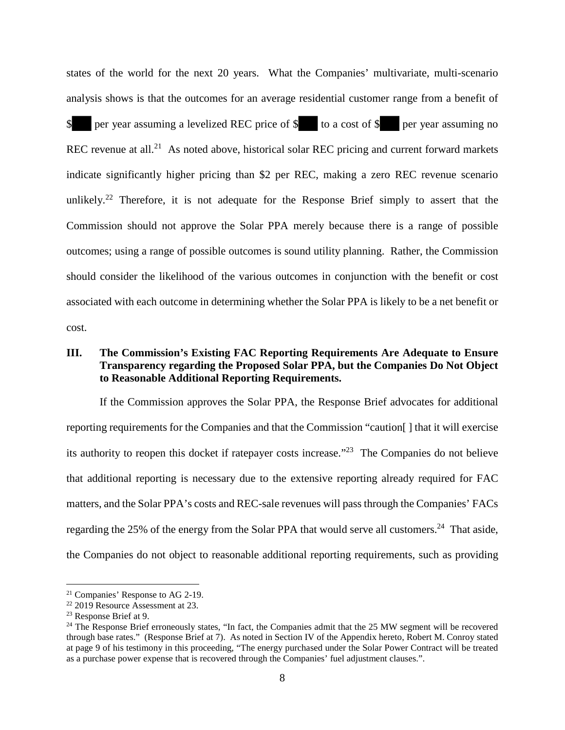states of the world for the next 20 years. What the Companies' multivariate, multi-scenario analysis shows is that the outcomes for an average residential customer range from a benefit of per year assuming a levelized REC price of  $\frac{1}{2}$  to a cost of  $\frac{1}{2}$  per year assuming no REC revenue at all.<sup>21</sup> As noted above, historical solar REC pricing and current forward markets indicate significantly higher pricing than \$2 per REC, making a zero REC revenue scenario unlikely.<sup>22</sup> Therefore, it is not adequate for the Response Brief simply to assert that the Commission should not approve the Solar PPA merely because there is a range of possible outcomes; using a range of possible outcomes is sound utility planning. Rather, the Commission should consider the likelihood of the various outcomes in conjunction with the benefit or cost associated with each outcome in determining whether the Solar PPA is likely to be a net benefit or cost.

### **III. The Commission's Existing FAC Reporting Requirements Are Adequate to Ensure Transparency regarding the Proposed Solar PPA, but the Companies Do Not Object to Reasonable Additional Reporting Requirements.**

If the Commission approves the Solar PPA, the Response Brief advocates for additional reporting requirements for the Companies and that the Commission "caution[ ] that it will exercise its authority to reopen this docket if ratepayer costs increase."<sup>23</sup> The Companies do not believe that additional reporting is necessary due to the extensive reporting already required for FAC matters, and the Solar PPA's costs and REC-sale revenues will pass through the Companies' FACs regarding the 25% of the energy from the Solar PPA that would serve all customers.<sup>24</sup> That aside, the Companies do not object to reasonable additional reporting requirements, such as providing

<sup>21</sup> Companies' Response to AG 2-19.

<sup>&</sup>lt;sup>22</sup> 2019 Resource Assessment at 23.

<sup>23</sup> Response Brief at 9.

<sup>&</sup>lt;sup>24</sup> The Response Brief erroneously states, "In fact, the Companies admit that the 25 MW segment will be recovered through base rates." (Response Brief at 7). As noted in Section IV of the Appendix hereto, Robert M. Conroy stated at page 9 of his testimony in this proceeding, "The energy purchased under the Solar Power Contract will be treated as a purchase power expense that is recovered through the Companies' fuel adjustment clauses.".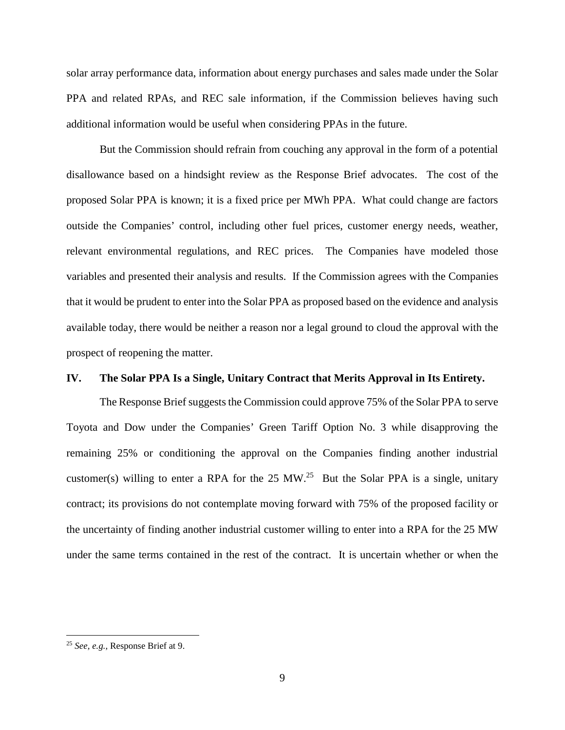solar array performance data, information about energy purchases and sales made under the Solar PPA and related RPAs, and REC sale information, if the Commission believes having such additional information would be useful when considering PPAs in the future.

But the Commission should refrain from couching any approval in the form of a potential disallowance based on a hindsight review as the Response Brief advocates. The cost of the proposed Solar PPA is known; it is a fixed price per MWh PPA. What could change are factors outside the Companies' control, including other fuel prices, customer energy needs, weather, relevant environmental regulations, and REC prices. The Companies have modeled those variables and presented their analysis and results. If the Commission agrees with the Companies that it would be prudent to enter into the Solar PPA as proposed based on the evidence and analysis available today, there would be neither a reason nor a legal ground to cloud the approval with the prospect of reopening the matter.

### **IV. The Solar PPA Is a Single, Unitary Contract that Merits Approval in Its Entirety.**

The Response Brief suggests the Commission could approve 75% of the Solar PPA to serve Toyota and Dow under the Companies' Green Tariff Option No. 3 while disapproving the remaining 25% or conditioning the approval on the Companies finding another industrial customer(s) willing to enter a RPA for the 25 MW.<sup>25</sup> But the Solar PPA is a single, unitary contract; its provisions do not contemplate moving forward with 75% of the proposed facility or the uncertainty of finding another industrial customer willing to enter into a RPA for the 25 MW under the same terms contained in the rest of the contract. It is uncertain whether or when the

<sup>25</sup> *See, e.g.,* Response Brief at 9.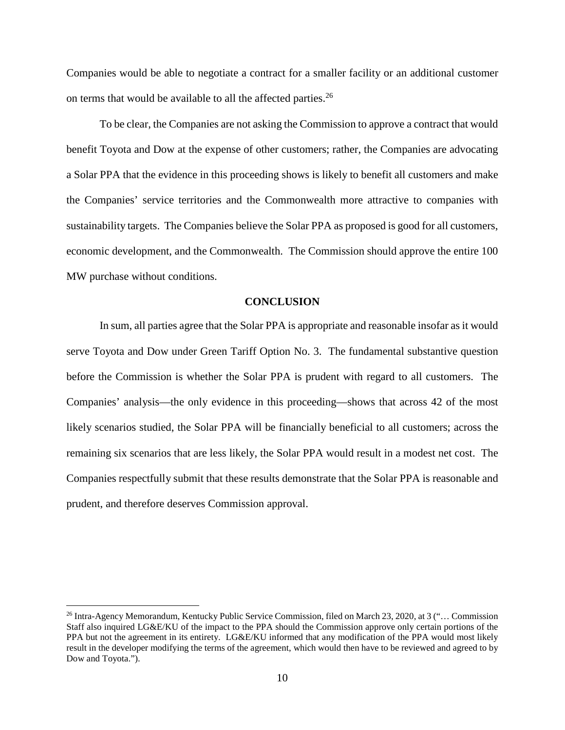Companies would be able to negotiate a contract for a smaller facility or an additional customer on terms that would be available to all the affected parties.<sup>26</sup>

To be clear, the Companies are not asking the Commission to approve a contract that would benefit Toyota and Dow at the expense of other customers; rather, the Companies are advocating a Solar PPA that the evidence in this proceeding shows is likely to benefit all customers and make the Companies' service territories and the Commonwealth more attractive to companies with sustainability targets. The Companies believe the Solar PPA as proposed is good for all customers, economic development, and the Commonwealth. The Commission should approve the entire 100 MW purchase without conditions.

#### **CONCLUSION**

In sum, all parties agree that the Solar PPA is appropriate and reasonable insofar as it would serve Toyota and Dow under Green Tariff Option No. 3. The fundamental substantive question before the Commission is whether the Solar PPA is prudent with regard to all customers. The Companies' analysis—the only evidence in this proceeding—shows that across 42 of the most likely scenarios studied, the Solar PPA will be financially beneficial to all customers; across the remaining six scenarios that are less likely, the Solar PPA would result in a modest net cost. The Companies respectfully submit that these results demonstrate that the Solar PPA is reasonable and prudent, and therefore deserves Commission approval.

<sup>26</sup> Intra-Agency Memorandum, Kentucky Public Service Commission, filed on March 23, 2020, at 3 ("… Commission Staff also inquired LG&E/KU of the impact to the PPA should the Commission approve only certain portions of the PPA but not the agreement in its entirety. LG&E/KU informed that any modification of the PPA would most likely result in the developer modifying the terms of the agreement, which would then have to be reviewed and agreed to by Dow and Toyota.").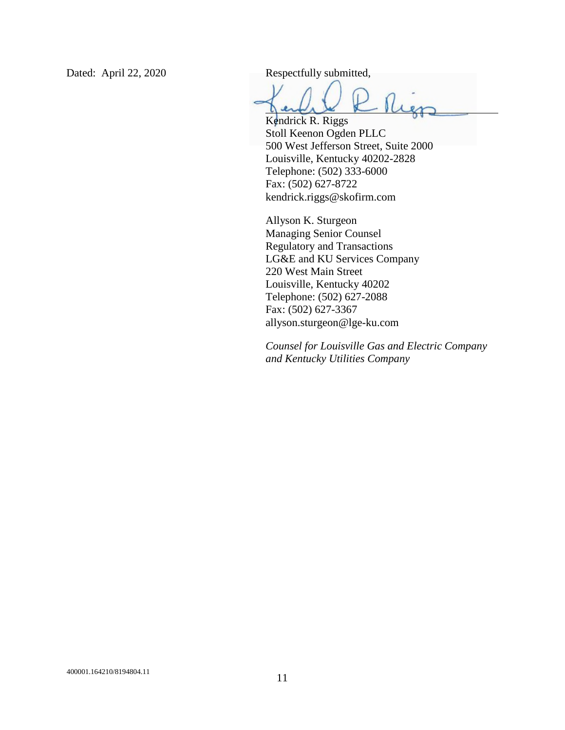Dated: April 22, 2020 Respectfully submitted,

Rier

Kendrick R. Riggs Stoll Keenon Ogden PLLC 500 West Jefferson Street, Suite 2000 Louisville, Kentucky 40202-2828 Telephone: (502) 333-6000 Fax: (502) 627-8722 kendrick.riggs@skofirm.com

Allyson K. Sturgeon Managing Senior Counsel Regulatory and Transactions LG&E and KU Services Company 220 West Main Street Louisville, Kentucky 40202 Telephone: (502) 627-2088 Fax: (502) 627-3367 allyson.sturgeon@lge-ku.com

*Counsel for Louisville Gas and Electric Company and Kentucky Utilities Company*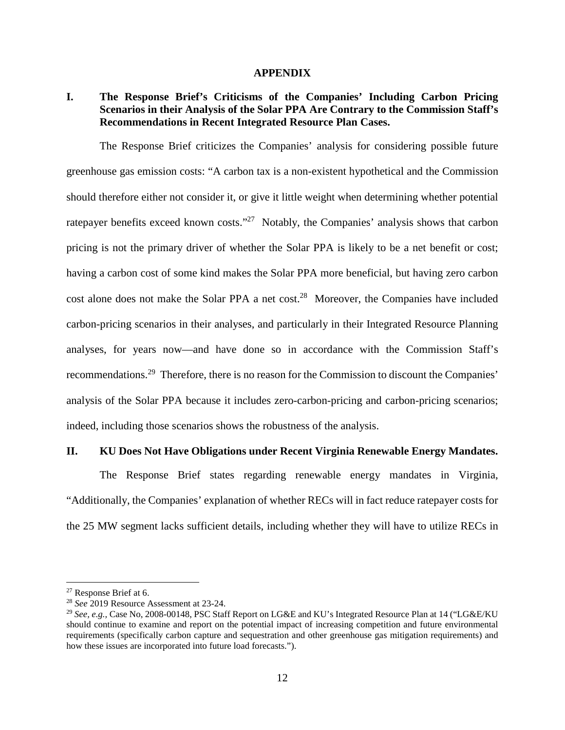#### **APPENDIX**

## **I. The Response Brief's Criticisms of the Companies' Including Carbon Pricing Scenarios in their Analysis of the Solar PPA Are Contrary to the Commission Staff's Recommendations in Recent Integrated Resource Plan Cases.**

The Response Brief criticizes the Companies' analysis for considering possible future greenhouse gas emission costs: "A carbon tax is a non-existent hypothetical and the Commission should therefore either not consider it, or give it little weight when determining whether potential ratepayer benefits exceed known costs."<sup>27</sup> Notably, the Companies' analysis shows that carbon pricing is not the primary driver of whether the Solar PPA is likely to be a net benefit or cost; having a carbon cost of some kind makes the Solar PPA more beneficial, but having zero carbon cost alone does not make the Solar PPA a net cost.<sup>28</sup> Moreover, the Companies have included carbon-pricing scenarios in their analyses, and particularly in their Integrated Resource Planning analyses, for years now—and have done so in accordance with the Commission Staff's recommendations.<sup>29</sup> Therefore, there is no reason for the Commission to discount the Companies' analysis of the Solar PPA because it includes zero-carbon-pricing and carbon-pricing scenarios; indeed, including those scenarios shows the robustness of the analysis.

#### **II. KU Does Not Have Obligations under Recent Virginia Renewable Energy Mandates.**

The Response Brief states regarding renewable energy mandates in Virginia, "Additionally, the Companies' explanation of whether RECs will in fact reduce ratepayer costs for the 25 MW segment lacks sufficient details, including whether they will have to utilize RECs in

<sup>27</sup> Response Brief at 6.

<sup>28</sup> *See* 2019 Resource Assessment at 23-24.

<sup>29</sup> *See, e.g.,* Case No, 2008-00148, PSC Staff Report on LG&E and KU's Integrated Resource Plan at 14 ("LG&E/KU should continue to examine and report on the potential impact of increasing competition and future environmental requirements (specifically carbon capture and sequestration and other greenhouse gas mitigation requirements) and how these issues are incorporated into future load forecasts.").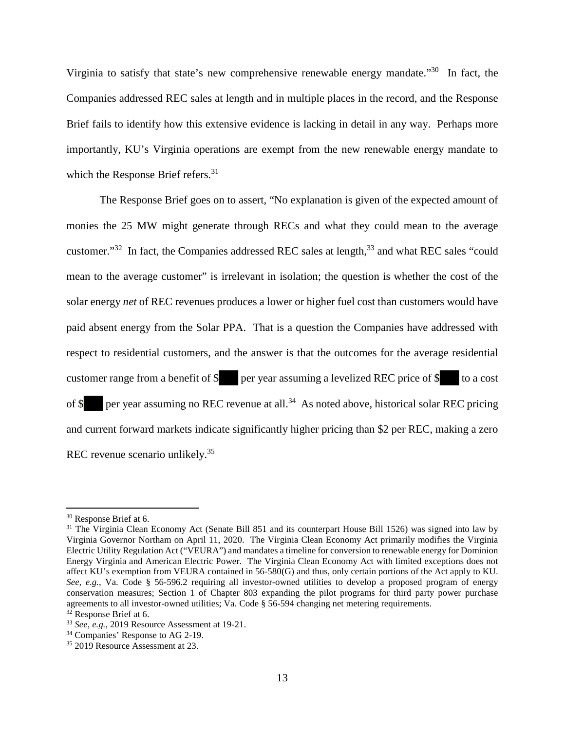Virginia to satisfy that state's new comprehensive renewable energy mandate."<sup>30</sup> In fact, the Companies addressed REC sales at length and in multiple places in the record, and the Response Brief fails to identify how this extensive evidence is lacking in detail in any way. Perhaps more importantly, KU's Virginia operations are exempt from the new renewable energy mandate to which the Response Brief refers.<sup>31</sup>

The Response Brief goes on to assert, "No explanation is given of the expected amount of monies the 25 MW might generate through RECs and what they could mean to the average customer."<sup>32</sup> In fact, the Companies addressed REC sales at length,<sup>33</sup> and what REC sales "could mean to the average customer" is irrelevant in isolation; the question is whether the cost of the solar energy *net* of REC revenues produces a lower or higher fuel cost than customers would have paid absent energy from the Solar PPA. That is a question the Companies have addressed with respect to residential customers, and the answer is that the outcomes for the average residential customer range from a benefit of  $\frac{1}{s}$  per year assuming a levelized REC price of  $\frac{s}{s}$  to a cost of  $\frac{1}{2}$  per year assuming no REC revenue at all.<sup>34</sup> As noted above, historical solar REC pricing and current forward markets indicate significantly higher pricing than \$2 per REC, making a zero REC revenue scenario unlikely.<sup>35</sup>

<sup>30</sup> Response Brief at 6.

<sup>&</sup>lt;sup>31</sup> The Virginia Clean Economy Act (Senate Bill 851 and its counterpart House Bill 1526) was signed into law by Virginia Governor Northam on April 11, 2020. The Virginia Clean Economy Act primarily modifies the Virginia Electric Utility Regulation Act ("VEURA") and mandates a timeline for conversion to renewable energy for Dominion Energy Virginia and American Electric Power. The Virginia Clean Economy Act with limited exceptions does not affect KU's exemption from VEURA contained in 56-580(G) and thus, only certain portions of the Act apply to KU. *See, e.g.*, Va. Code § 56-596.2 requiring all investor-owned utilities to develop a proposed program of energy conservation measures; Section 1 of Chapter 803 expanding the pilot programs for third party power purchase agreements to all investor-owned utilities; Va. Code § 56-594 changing net metering requirements.

 $32$  Response Brief at 6.

<sup>33</sup> *See, e.g.,* 2019 Resource Assessment at 19-21.

<sup>&</sup>lt;sup>34</sup> Companies' Response to AG 2-19.

<sup>&</sup>lt;sup>35</sup> 2019 Resource Assessment at 23.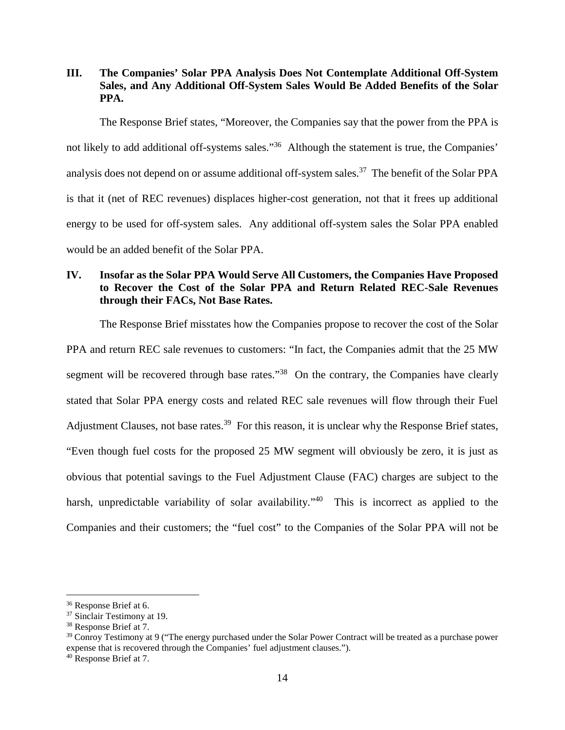## **III. The Companies' Solar PPA Analysis Does Not Contemplate Additional Off-System Sales, and Any Additional Off-System Sales Would Be Added Benefits of the Solar PPA.**

The Response Brief states, "Moreover, the Companies say that the power from the PPA is not likely to add additional off-systems sales."<sup>36</sup> Although the statement is true, the Companies' analysis does not depend on or assume additional off-system sales.<sup>37</sup> The benefit of the Solar PPA is that it (net of REC revenues) displaces higher-cost generation, not that it frees up additional energy to be used for off-system sales. Any additional off-system sales the Solar PPA enabled would be an added benefit of the Solar PPA.

## **IV. Insofar as the Solar PPA Would Serve All Customers, the Companies Have Proposed to Recover the Cost of the Solar PPA and Return Related REC-Sale Revenues through their FACs, Not Base Rates.**

The Response Brief misstates how the Companies propose to recover the cost of the Solar

PPA and return REC sale revenues to customers: "In fact, the Companies admit that the 25 MW segment will be recovered through base rates."<sup>38</sup> On the contrary, the Companies have clearly stated that Solar PPA energy costs and related REC sale revenues will flow through their Fuel Adjustment Clauses, not base rates.<sup>39</sup> For this reason, it is unclear why the Response Brief states, "Even though fuel costs for the proposed 25 MW segment will obviously be zero, it is just as obvious that potential savings to the Fuel Adjustment Clause (FAC) charges are subject to the harsh, unpredictable variability of solar availability."<sup>40</sup> This is incorrect as applied to the Companies and their customers; the "fuel cost" to the Companies of the Solar PPA will not be

<sup>36</sup> Response Brief at 6.

<sup>&</sup>lt;sup>37</sup> Sinclair Testimony at 19.

<sup>38</sup> Response Brief at 7.

 $39$  Conroy Testimony at 9 ("The energy purchased under the Solar Power Contract will be treated as a purchase power expense that is recovered through the Companies' fuel adjustment clauses.").

<sup>40</sup> Response Brief at 7.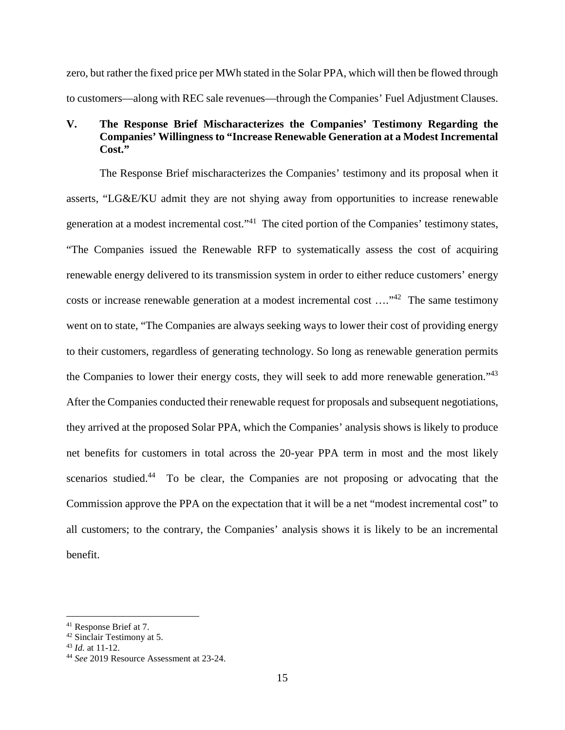zero, but rather the fixed price per MWh stated in the Solar PPA, which will then be flowed through to customers—along with REC sale revenues—through the Companies' Fuel Adjustment Clauses.

## **V. The Response Brief Mischaracterizes the Companies' Testimony Regarding the Companies' Willingness to "Increase Renewable Generation at a Modest Incremental**   $Cost<sup>7</sup>$

The Response Brief mischaracterizes the Companies' testimony and its proposal when it asserts, "LG&E/KU admit they are not shying away from opportunities to increase renewable generation at a modest incremental cost."<sup>41</sup> The cited portion of the Companies' testimony states, "The Companies issued the Renewable RFP to systematically assess the cost of acquiring renewable energy delivered to its transmission system in order to either reduce customers' energy costs or increase renewable generation at a modest incremental cost ...."<sup>42</sup> The same testimony went on to state, "The Companies are always seeking ways to lower their cost of providing energy to their customers, regardless of generating technology. So long as renewable generation permits the Companies to lower their energy costs, they will seek to add more renewable generation."<sup>43</sup> After the Companies conducted their renewable request for proposals and subsequent negotiations, they arrived at the proposed Solar PPA, which the Companies' analysis shows is likely to produce net benefits for customers in total across the 20-year PPA term in most and the most likely scenarios studied.<sup>44</sup> To be clear, the Companies are not proposing or advocating that the Commission approve the PPA on the expectation that it will be a net "modest incremental cost" to all customers; to the contrary, the Companies' analysis shows it is likely to be an incremental benefit.

<sup>41</sup> Response Brief at 7.

<sup>42</sup> Sinclair Testimony at 5.

<sup>43</sup> *Id.* at 11-12.

<sup>44</sup> *See* 2019 Resource Assessment at 23-24.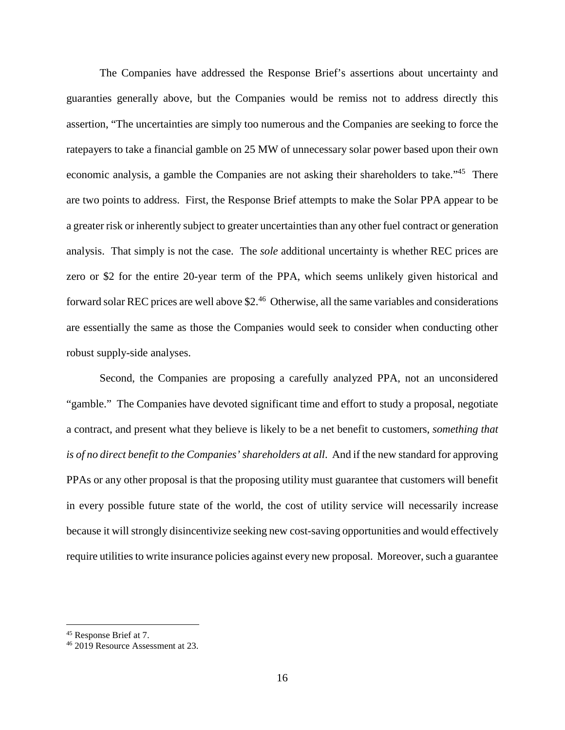The Companies have addressed the Response Brief's assertions about uncertainty and guaranties generally above, but the Companies would be remiss not to address directly this assertion, "The uncertainties are simply too numerous and the Companies are seeking to force the ratepayers to take a financial gamble on 25 MW of unnecessary solar power based upon their own economic analysis, a gamble the Companies are not asking their shareholders to take."<sup>45</sup> There are two points to address. First, the Response Brief attempts to make the Solar PPA appear to be a greater risk or inherently subject to greater uncertainties than any other fuel contract or generation analysis. That simply is not the case. The *sole* additional uncertainty is whether REC prices are zero or \$2 for the entire 20-year term of the PPA, which seems unlikely given historical and forward solar REC prices are well above \$2.<sup>46</sup> Otherwise, all the same variables and considerations are essentially the same as those the Companies would seek to consider when conducting other robust supply-side analyses.

Second, the Companies are proposing a carefully analyzed PPA, not an unconsidered "gamble." The Companies have devoted significant time and effort to study a proposal, negotiate a contract, and present what they believe is likely to be a net benefit to customers, *something that is of no direct benefit to the Companies' shareholders at all*. And if the new standard for approving PPAs or any other proposal is that the proposing utility must guarantee that customers will benefit in every possible future state of the world, the cost of utility service will necessarily increase because it will strongly disincentivize seeking new cost-saving opportunities and would effectively require utilities to write insurance policies against every new proposal. Moreover, such a guarantee

<sup>&</sup>lt;sup>45</sup> Response Brief at 7.

<sup>46</sup> 2019 Resource Assessment at 23.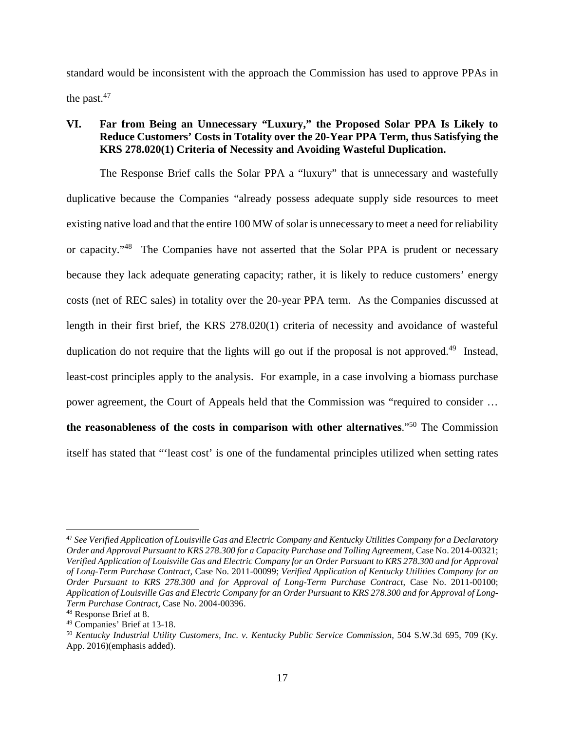standard would be inconsistent with the approach the Commission has used to approve PPAs in the past. $47$ 

## **VI. Far from Being an Unnecessary "Luxury," the Proposed Solar PPA Is Likely to Reduce Customers' Costs in Totality over the 20-Year PPA Term, thus Satisfying the KRS 278.020(1) Criteria of Necessity and Avoiding Wasteful Duplication.**

The Response Brief calls the Solar PPA a "luxury" that is unnecessary and wastefully duplicative because the Companies "already possess adequate supply side resources to meet existing native load and that the entire 100 MW of solar is unnecessary to meet a need for reliability or capacity."<sup>48</sup> The Companies have not asserted that the Solar PPA is prudent or necessary because they lack adequate generating capacity; rather, it is likely to reduce customers' energy costs (net of REC sales) in totality over the 20-year PPA term. As the Companies discussed at length in their first brief, the KRS 278.020(1) criteria of necessity and avoidance of wasteful duplication do not require that the lights will go out if the proposal is not approved.<sup>49</sup> Instead, least-cost principles apply to the analysis. For example, in a case involving a biomass purchase power agreement, the Court of Appeals held that the Commission was "required to consider … **the reasonableness of the costs in comparison with other alternatives**."<sup>50</sup> The Commission itself has stated that "'least cost' is one of the fundamental principles utilized when setting rates

<sup>47</sup> *See Verified Application of Louisville Gas and Electric Company and Kentucky Utilities Company for a Declaratory Order and Approval Pursuant to KRS 278.300 for a Capacity Purchase and Tolling Agreement*, Case No. 2014-00321; *Verified Application of Louisville Gas and Electric Company for an Order Pursuant to KRS 278.300 and for Approval of Long-Term Purchase Contract*, Case No. 2011-00099; *Verified Application of Kentucky Utilities Company for an Order Pursuant to KRS 278.300 and for Approval of Long-Term Purchase Contract*, Case No. 2011-00100; *Application of Louisville Gas and Electric Company for an Order Pursuant to KRS 278.300 and for Approval of Long-Term Purchase Contract*, Case No. 2004-00396.

<sup>48</sup> Response Brief at 8.

<sup>49</sup> Companies' Brief at 13-18.

<sup>50</sup> *Kentucky Industrial Utility Customers, Inc. v. Kentucky Public Service Commission*, 504 S.W.3d 695, 709 (Ky. App. 2016)(emphasis added).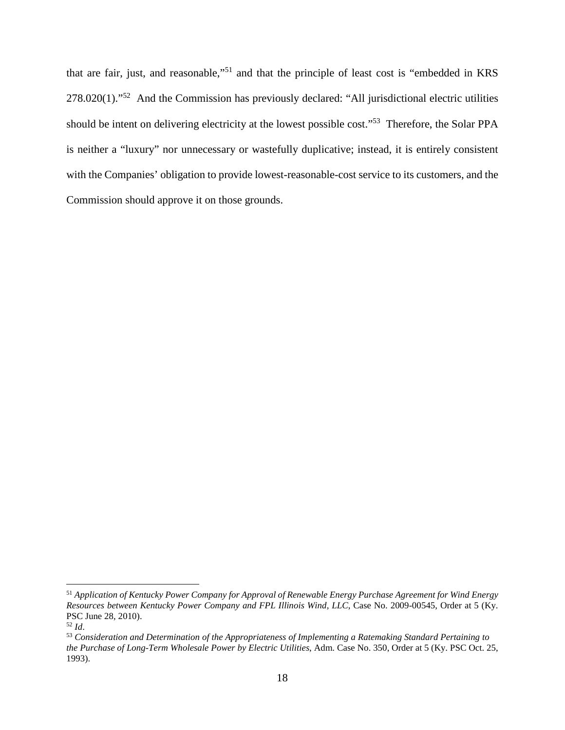that are fair, just, and reasonable,"<sup>51</sup> and that the principle of least cost is "embedded in KRS 278.020(1)."<sup>52</sup> And the Commission has previously declared: "All jurisdictional electric utilities should be intent on delivering electricity at the lowest possible cost."<sup>53</sup> Therefore, the Solar PPA is neither a "luxury" nor unnecessary or wastefully duplicative; instead, it is entirely consistent with the Companies' obligation to provide lowest-reasonable-cost service to its customers, and the Commission should approve it on those grounds.

<sup>51</sup> *Application of Kentucky Power Company for Approval of Renewable Energy Purchase Agreement for Wind Energy Resources between Kentucky Power Company and FPL Illinois Wind, LLC*, Case No. 2009-00545, Order at 5 (Ky. PSC June 28, 2010).

<sup>52</sup> *Id*.

<sup>53</sup> *Consideration and Determination of the Appropriateness of Implementing a Ratemaking Standard Pertaining to the Purchase of Long-Term Wholesale Power by Electric Utilities*, Adm. Case No. 350, Order at 5 (Ky. PSC Oct. 25, 1993).